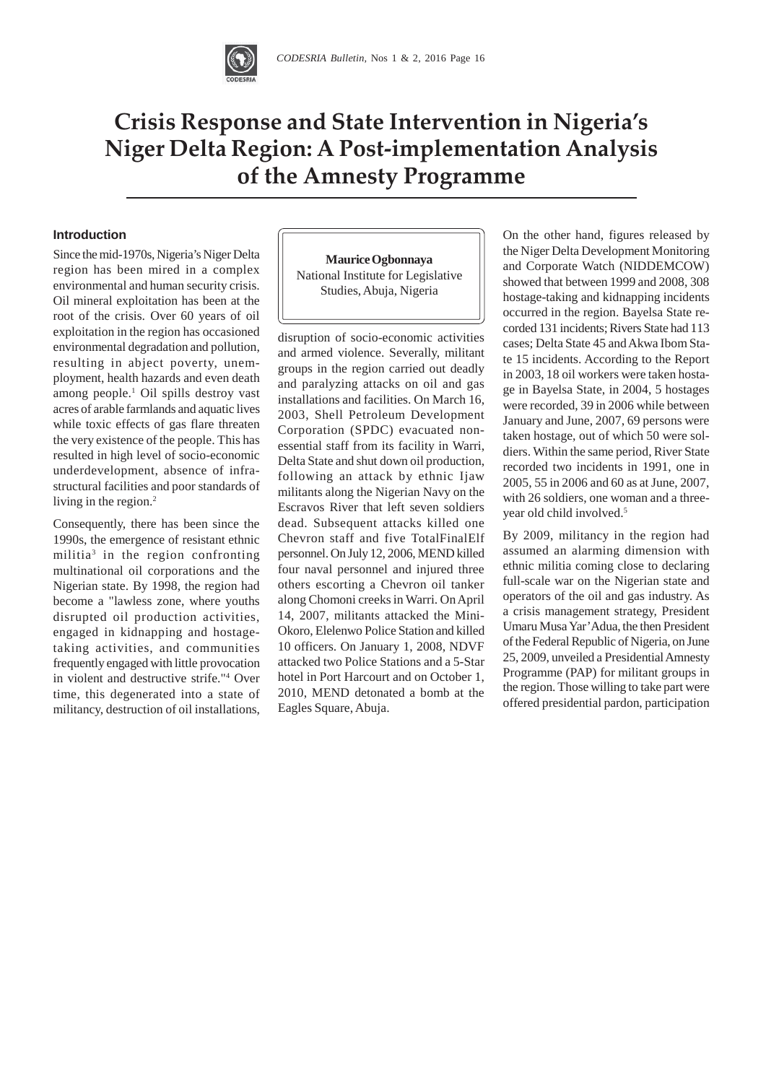

# **Crisis Response and State Intervention in Nigeria's Niger Delta Region: A Post-implementation Analysis 26 the Amnesty Programme**

#### **Introduction**

Since the mid-1970s, Nigeria's Niger Delta region has been mired in a complex environmental and human security crisis. Oil mineral exploitation has been at the root of the crisis. Over 60 years of oil exploitation in the region has occasioned environmental degradation and pollution, resulting in abject poverty, unemployment, health hazards and even death among people.1 Oil spills destroy vast acres of arable farmlands and aquatic lives while toxic effects of gas flare threaten the very existence of the people. This has resulted in high level of socio-economic underdevelopment, absence of infrastructural facilities and poor standards of living in the region.<sup>2</sup>

Consequently, there has been since the 1990s, the emergence of resistant ethnic militia3 in the region confronting multinational oil corporations and the Nigerian state. By 1998, the region had become a "lawless zone, where youths disrupted oil production activities, engaged in kidnapping and hostagetaking activities, and communities frequently engaged with little provocation in violent and destructive strife."4 Over time, this degenerated into a state of militancy, destruction of oil installations,

**Maurice Ogbonnaya** National Institute for Legislative Studies, Abuja, Nigeria

disruption of socio-economic activities and armed violence. Severally, militant groups in the region carried out deadly and paralyzing attacks on oil and gas installations and facilities. On March 16, 2003, Shell Petroleum Development Corporation (SPDC) evacuated nonessential staff from its facility in Warri, Delta State and shut down oil production, following an attack by ethnic Ijaw militants along the Nigerian Navy on the Escravos River that left seven soldiers dead. Subsequent attacks killed one Chevron staff and five TotalFinalElf personnel. On July 12, 2006, MEND killed four naval personnel and injured three others escorting a Chevron oil tanker along Chomoni creeks in Warri. On April 14, 2007, militants attacked the Mini-Okoro, Elelenwo Police Station and killed 10 officers. On January 1, 2008, NDVF attacked two Police Stations and a 5-Star hotel in Port Harcourt and on October 1, 2010, MEND detonated a bomb at the Eagles Square, Abuja.

On the other hand, figures released by the Niger Delta Development Monitoring and Corporate Watch (NIDDEMCOW) showed that between 1999 and 2008, 308 hostage-taking and kidnapping incidents occurred in the region. Bayelsa State recorded 131 incidents; Rivers State had 113 cases; Delta State 45 and Akwa Ibom State 15 incidents. According to the Report in 2003, 18 oil workers were taken hostage in Bayelsa State, in 2004, 5 hostages were recorded, 39 in 2006 while between January and June, 2007, 69 persons were taken hostage, out of which 50 were soldiers. Within the same period, River State recorded two incidents in 1991, one in 2005, 55 in 2006 and 60 as at June, 2007, with 26 soldiers, one woman and a threeyear old child involved.<sup>5</sup>

By 2009, militancy in the region had assumed an alarming dimension with ethnic militia coming close to declaring full-scale war on the Nigerian state and operators of the oil and gas industry. As a crisis management strategy, President Umaru Musa Yar'Adua, the then President of the Federal Republic of Nigeria, on June 25, 2009, unveiled a Presidential Amnesty Programme (PAP) for militant groups in the region. Those willing to take part were offered presidential pardon, participation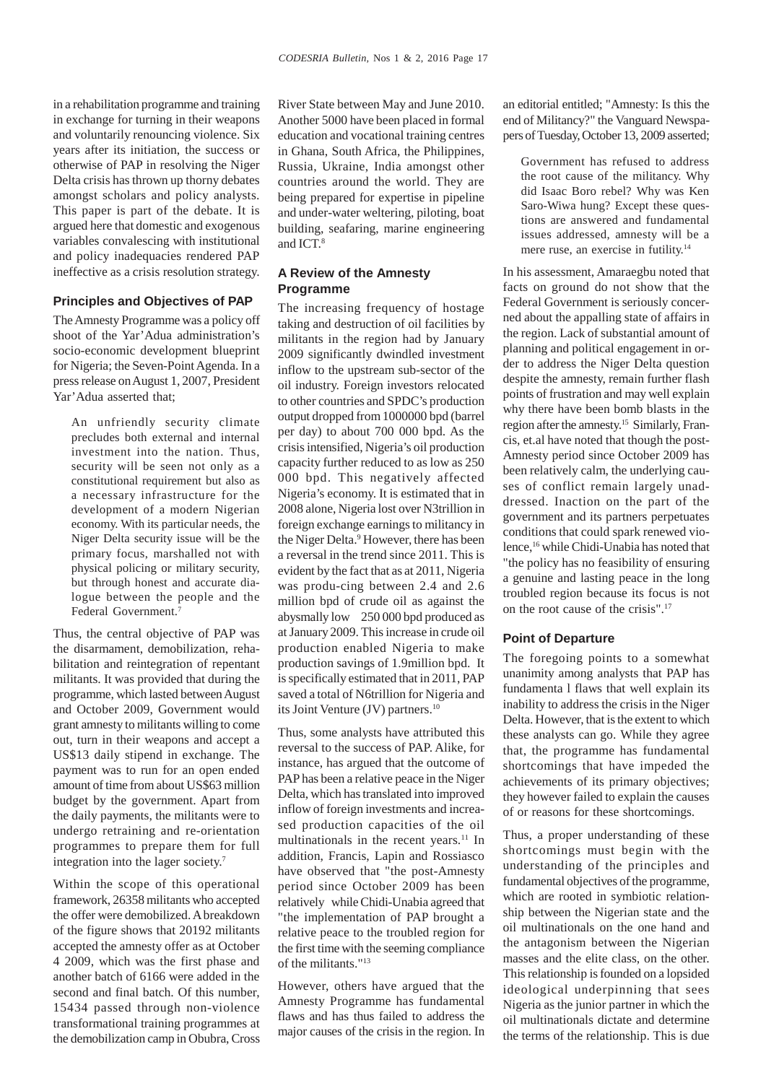in a rehabilitation programme and training in exchange for turning in their weapons and voluntarily renouncing violence. Six years after its initiation, the success or otherwise of PAP in resolving the Niger Delta crisis has thrown up thorny debates amongst scholars and policy analysts. This paper is part of the debate. It is argued here that domestic and exogenous variables convalescing with institutional and policy inadequacies rendered PAP ineffective as a crisis resolution strategy.

## **Principles and Objectives of PAP**

The Amnesty Programme was a policy off shoot of the Yar'Adua administration's socio-economic development blueprint for Nigeria; the Seven-Point Agenda. In a press release on August 1, 2007, President Yar'Adua asserted that;

An unfriendly security climate precludes both external and internal investment into the nation. Thus, security will be seen not only as a constitutional requirement but also as a necessary infrastructure for the development of a modern Nigerian economy. With its particular needs, the Niger Delta security issue will be the primary focus, marshalled not with physical policing or military security, but through honest and accurate dialogue between the people and the Federal Government.<sup>7</sup>

Thus, the central objective of PAP was the disarmament, demobilization, rehabilitation and reintegration of repentant militants. It was provided that during the programme, which lasted between August and October 2009, Government would grant amnesty to militants willing to come out, turn in their weapons and accept a US\$13 daily stipend in exchange. The payment was to run for an open ended amount of time from about US\$63 million budget by the government. Apart from the daily payments, the militants were to undergo retraining and re-orientation programmes to prepare them for full integration into the lager society.7

Within the scope of this operational framework, 26358 militants who accepted the offer were demobilized. A breakdown of the figure shows that 20192 militants accepted the amnesty offer as at October 4 2009, which was the first phase and another batch of 6166 were added in the second and final batch. Of this number, 15434 passed through non-violence transformational training programmes at the demobilization camp in Obubra, Cross

River State between May and June 2010. Another 5000 have been placed in formal education and vocational training centres in Ghana, South Africa, the Philippines, Russia, Ukraine, India amongst other countries around the world. They are being prepared for expertise in pipeline and under-water weltering, piloting, boat building, seafaring, marine engineering and **ICT**<sup>8</sup>

#### **A Review of the Amnesty Programme**

The increasing frequency of hostage taking and destruction of oil facilities by militants in the region had by January 2009 significantly dwindled investment inflow to the upstream sub-sector of the oil industry. Foreign investors relocated to other countries and SPDC's production output dropped from 1000000 bpd (barrel per day) to about 700 000 bpd. As the crisis intensified, Nigeria's oil production capacity further reduced to as low as 250 000 bpd. This negatively affected Nigeria's economy. It is estimated that in 2008 alone, Nigeria lost over N3trillion in foreign exchange earnings to militancy in the Niger Delta.<sup>9</sup> However, there has been a reversal in the trend since 2011. This is evident by the fact that as at 2011, Nigeria was produ-cing between 2.4 and 2.6 million bpd of crude oil as against the abysmally low 250 000 bpd produced as at January 2009. This increase in crude oil production enabled Nigeria to make production savings of 1.9million bpd. It is specifically estimated that in 2011, PAP saved a total of N6trillion for Nigeria and its Joint Venture (JV) partners.<sup>10</sup>

Thus, some analysts have attributed this reversal to the success of PAP. Alike, for instance, has argued that the outcome of PAP has been a relative peace in the Niger Delta, which has translated into improved inflow of foreign investments and increased production capacities of the oil multinationals in the recent years.<sup>11</sup> In addition, Francis, Lapin and Rossiasco have observed that "the post-Amnesty period since October 2009 has been relatively while Chidi-Unabia agreed that "the implementation of PAP brought a relative peace to the troubled region for the first time with the seeming compliance of the militants."13

However, others have argued that the Amnesty Programme has fundamental flaws and has thus failed to address the major causes of the crisis in the region. In an editorial entitled; "Amnesty: Is this the end of Militancy?" the Vanguard Newspapers of Tuesday, October 13, 2009 asserted;

Government has refused to address the root cause of the militancy. Why did Isaac Boro rebel? Why was Ken Saro-Wiwa hung? Except these questions are answered and fundamental issues addressed, amnesty will be a mere ruse, an exercise in futility.14

In his assessment, Amaraegbu noted that facts on ground do not show that the Federal Government is seriously concerned about the appalling state of affairs in the region. Lack of substantial amount of planning and political engagement in order to address the Niger Delta question despite the amnesty, remain further flash points of frustration and may well explain why there have been bomb blasts in the region after the amnesty.15 Similarly, Francis, et.al have noted that though the post-Amnesty period since October 2009 has been relatively calm, the underlying causes of conflict remain largely unaddressed. Inaction on the part of the government and its partners perpetuates conditions that could spark renewed violence,16 while Chidi-Unabia has noted that "the policy has no feasibility of ensuring a genuine and lasting peace in the long troubled region because its focus is not on the root cause of the crisis".17

#### **Point of Departure**

The foregoing points to a somewhat unanimity among analysts that PAP has fundamenta l flaws that well explain its inability to address the crisis in the Niger Delta. However, that is the extent to which these analysts can go. While they agree that, the programme has fundamental shortcomings that have impeded the achievements of its primary objectives; they however failed to explain the causes of or reasons for these shortcomings.

Thus, a proper understanding of these shortcomings must begin with the understanding of the principles and fundamental objectives of the programme, which are rooted in symbiotic relationship between the Nigerian state and the oil multinationals on the one hand and the antagonism between the Nigerian masses and the elite class, on the other. This relationship is founded on a lopsided ideological underpinning that sees Nigeria as the junior partner in which the oil multinationals dictate and determine the terms of the relationship. This is due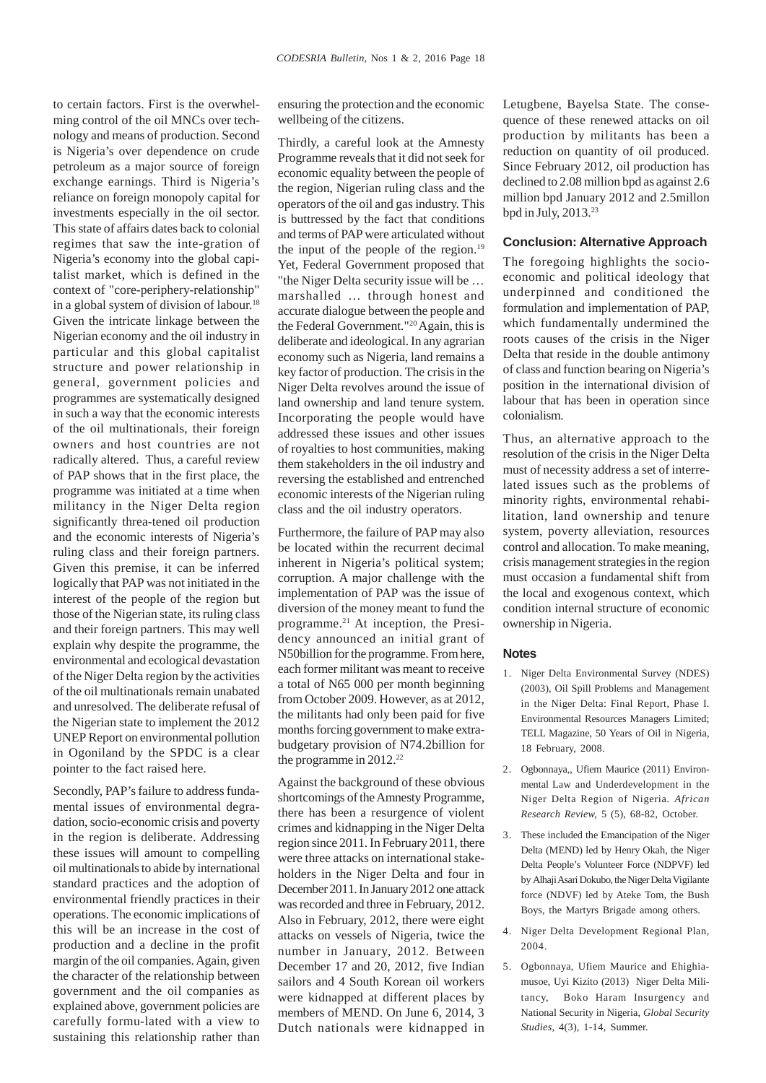to certain factors. First is the overwhelming control of the oil MNCs over technology and means of production. Second is Nigeria's over dependence on crude petroleum as a major source of foreign exchange earnings. Third is Nigeria's reliance on foreign monopoly capital for investments especially in the oil sector. This state of affairs dates back to colonial regimes that saw the inte-gration of Nigeria's economy into the global capitalist market, which is defined in the context of "core-periphery-relationship" in a global system of division of labour.<sup>18</sup> Given the intricate linkage between the Nigerian economy and the oil industry in particular and this global capitalist structure and power relationship in general, government policies and programmes are systematically designed in such a way that the economic interests of the oil multinationals, their foreign owners and host countries are not radically altered. Thus, a careful review of PAP shows that in the first place, the programme was initiated at a time when militancy in the Niger Delta region significantly threa-tened oil production and the economic interests of Nigeria's ruling class and their foreign partners. Given this premise, it can be inferred logically that PAP was not initiated in the interest of the people of the region but those of the Nigerian state, its ruling class and their foreign partners. This may well explain why despite the programme, the environmental and ecological devastation of the Niger Delta region by the activities of the oil multinationals remain unabated and unresolved. The deliberate refusal of the Nigerian state to implement the 2012 UNEP Report on environmental pollution in Ogoniland by the SPDC is a clear pointer to the fact raised here.

Secondly, PAP's failure to address fundamental issues of environmental degradation, socio-economic crisis and poverty in the region is deliberate. Addressing these issues will amount to compelling oil multinationals to abide by international standard practices and the adoption of environmental friendly practices in their operations. The economic implications of this will be an increase in the cost of production and a decline in the profit margin of the oil companies. Again, given the character of the relationship between government and the oil companies as explained above, government policies are carefully formu-lated with a view to sustaining this relationship rather than

ensuring the protection and the economic wellbeing of the citizens.

Thirdly, a careful look at the Amnesty Programme reveals that it did not seek for economic equality between the people of the region, Nigerian ruling class and the operators of the oil and gas industry. This is buttressed by the fact that conditions and terms of PAP were articulated without the input of the people of the region. $19$ Yet, Federal Government proposed that "the Niger Delta security issue will be … marshalled … through honest and accurate dialogue between the people and the Federal Government."<sup>20</sup> Again, this is deliberate and ideological. In any agrarian economy such as Nigeria, land remains a key factor of production. The crisis in the Niger Delta revolves around the issue of land ownership and land tenure system. Incorporating the people would have addressed these issues and other issues of royalties to host communities, making them stakeholders in the oil industry and reversing the established and entrenched economic interests of the Nigerian ruling class and the oil industry operators.

Furthermore, the failure of PAP may also be located within the recurrent decimal inherent in Nigeria's political system; corruption. A major challenge with the implementation of PAP was the issue of diversion of the money meant to fund the programme.21 At inception, the Presidency announced an initial grant of N50billion for the programme. From here, each former militant was meant to receive a total of N65 000 per month beginning from October 2009. However, as at 2012, the militants had only been paid for five months forcing government to make extrabudgetary provision of N74.2billion for the programme in  $2012.^{22}$ 

Against the background of these obvious shortcomings of the Amnesty Programme, there has been a resurgence of violent crimes and kidnapping in the Niger Delta region since 2011. In February 2011, there were three attacks on international stakeholders in the Niger Delta and four in December 2011. In January 2012 one attack was recorded and three in February, 2012. Also in February, 2012, there were eight attacks on vessels of Nigeria, twice the number in January, 2012. Between December 17 and 20, 2012, five Indian sailors and 4 South Korean oil workers were kidnapped at different places by members of MEND. On June 6, 2014, 3 Dutch nationals were kidnapped in

Letugbene, Bayelsa State. The consequence of these renewed attacks on oil production by militants has been a reduction on quantity of oil produced. Since February 2012, oil production has declined to 2.08 million bpd as against 2.6 million bpd January 2012 and 2.5millon bpd in July,  $2013.<sup>23</sup>$ 

#### **Conclusion: Alternative Approach**

The foregoing highlights the socioeconomic and political ideology that underpinned and conditioned the formulation and implementation of PAP, which fundamentally undermined the roots causes of the crisis in the Niger Delta that reside in the double antimony of class and function bearing on Nigeria's position in the international division of labour that has been in operation since colonialism.

Thus, an alternative approach to the resolution of the crisis in the Niger Delta must of necessity address a set of interrelated issues such as the problems of minority rights, environmental rehabilitation, land ownership and tenure system, poverty alleviation, resources control and allocation. To make meaning, crisis management strategies in the region must occasion a fundamental shift from the local and exogenous context, which condition internal structure of economic ownership in Nigeria.

#### **Notes**

- 1. Niger Delta Environmental Survey (NDES) (2003), Oil Spill Problems and Management in the Niger Delta: Final Report, Phase I. Environmental Resources Managers Limited; TELL Magazine, 50 Years of Oil in Nigeria, 18 February, 2008.
- 2. Ogbonnaya,, Ufiem Maurice (2011) Environmental Law and Underdevelopment in the Niger Delta Region of Nigeria. *African Research Review,* 5 (5), 68-82, October.
- 3. These included the Emancipation of the Niger Delta (MEND) led by Henry Okah, the Niger Delta People's Volunteer Force (NDPVF) led by Alhaji Asari Dokubo, the Niger Delta Vigilante force (NDVF) led by Ateke Tom, the Bush Boys, the Martyrs Brigade among others.
- 4. Niger Delta Development Regional Plan, 2004.
- 5. Ogbonnaya, Ufiem Maurice and Ehighiamusoe, Uyi Kizito (2013) Niger Delta Militancy, Boko Haram Insurgency and National Security in Nigeria, *Global Security Studies,* 4(3), 1-14, Summer.